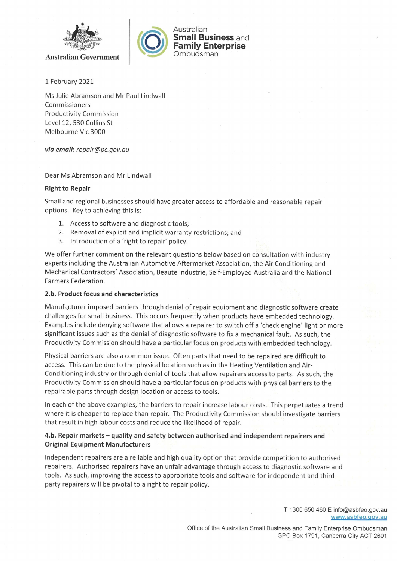





1 February 2021

Ms Julie Abramson and Mr Paul Lindwall Commissioners **Productivity Commission** Level 12, 530 Collins St Melbourne Vic 3000

via email: repair@pc.gov.au

Dear Ms Abramson and Mr Lindwall

# **Right to Repair**

Small and regional businesses should have greater access to affordable and reasonable repair options. Key to achieving this is:

- 1. Access to software and diagnostic tools;
- 2. Removal of explicit and implicit warranty restrictions; and
- 3. Introduction of a 'right to repair' policy.

We offer further comment on the relevant questions below based on consultation with industry experts including the Australian Automotive Aftermarket Association, the Air Conditioning and Mechanical Contractors' Association, Beaute Industrie, Self-Employed Australia and the National Farmers Federation.

# 2.b. Product focus and characteristics

Manufacturer imposed barriers through denial of repair equipment and diagnostic software create challenges for small business. This occurs frequently when products have embedded technology. Examples include denying software that allows a repairer to switch off a 'check engine' light or more significant issues such as the denial of diagnostic software to fix a mechanical fault. As such, the Productivity Commission should have a particular focus on products with embedded technology.

Physical barriers are also a common issue. Often parts that need to be repaired are difficult to access. This can be due to the physical location such as in the Heating Ventilation and Air-Conditioning industry or through denial of tools that allow repairers access to parts. As such, the Productivity Commission should have a particular focus on products with physical barriers to the repairable parts through design location or access to tools.

In each of the above examples, the barriers to repair increase labour costs. This perpetuates a trend where it is cheaper to replace than repair. The Productivity Commission should investigate barriers that result in high labour costs and reduce the likelihood of repair.

# 4.b. Repair markets – quality and safety between authorised and independent repairers and **Original Equipment Manufacturers**

Independent repairers are a reliable and high quality option that provide competition to authorised repairers. Authorised repairers have an unfair advantage through access to diagnostic software and tools. As such, improving the access to appropriate tools and software for independent and thirdparty repairers will be pivotal to a right to repair policy.